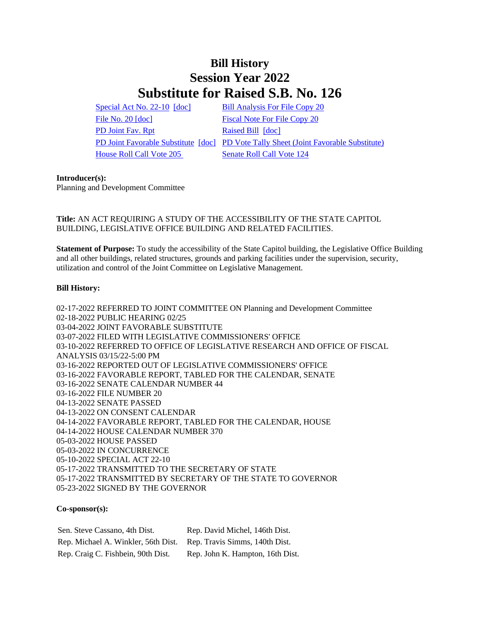# **Bill History Session Year 2022 Substitute for Raised S.B. No. 126**

[Special Act No. 22-10](/2022/ACT/SA/PDF/2022SA-00010-R00SB-00126-SA.PDF) [\[doc\]](https://search.cga.state.ct.us/dl2022/SA/DOC/2022SA-00010-R00SB-00126-SA.DOCX) [Bill Analysis For File Copy 20](/2022/BA/PDF/2022SB-00126-R000020-BA.PDF) [File No.](/2022/FC/PDF/2022SB-00126-R000020-FC.PDF) 20 [\[doc\]](https://search.cga.state.ct.us/dl2022/fc/doc/2022SB-00126-R000020-FC.docx) [Fiscal Note For File Copy 20](/2022/FN/PDF/2022SB-00126-R000020-FN.PDF) [PD Joint](/2022/JFR/S/PDF/2022SB-00126-R00PD-JFR.PDF) Fav. Rpt [Raised Bill](/2022/TOB/S/PDF/2022SB-00126-R00-SB.PDF) [\[doc\]](https://search.cga.state.ct.us/dl2022/TOB/DOC/2022SB-00126-R00-SB.DOCX) [House Roll Call Vote 205](/2022/VOTE/H/PDF/2022HV-00205-R00SB00126-HV.PDF) [Senate Roll Call Vote 124](/2022/VOTE/S/PDF/2022SV-00124-R00SB00126-SV.PDF) 

[PD Joint Favorable Substitute](/2022/TOB/S/PDF/2022SB-00126-R01-SB.PDF) [\[doc\]](https://search.cga.state.ct.us/dl2022/TOB/DOC/2022SB-00126-R01-SB.DOCX) [PD Vote Tally Sheet \(Joint Favorable Substitute\)](/2022/TS/S/PDF/2022SB-00126-R00PD-CV45-TS.PDF)

## **Introducer(s):**

Planning and Development Committee

## **Title:** AN ACT REQUIRING A STUDY OF THE ACCESSIBILITY OF THE STATE CAPITOL BUILDING, LEGISLATIVE OFFICE BUILDING AND RELATED FACILITIES.

**Statement of Purpose:** To study the accessibility of the State Capitol building, the Legislative Office Building and all other buildings, related structures, grounds and parking facilities under the supervision, security, utilization and control of the Joint Committee on Legislative Management.

## **Bill History:**

02-17-2022 REFERRED TO JOINT COMMITTEE ON Planning and Development Committee 02-18-2022 PUBLIC HEARING 02/25 03-04-2022 JOINT FAVORABLE SUBSTITUTE 03-07-2022 FILED WITH LEGISLATIVE COMMISSIONERS' OFFICE 03-10-2022 REFERRED TO OFFICE OF LEGISLATIVE RESEARCH AND OFFICE OF FISCAL ANALYSIS 03/15/22-5:00 PM 03-16-2022 REPORTED OUT OF LEGISLATIVE COMMISSIONERS' OFFICE 03-16-2022 FAVORABLE REPORT, TABLED FOR THE CALENDAR, SENATE 03-16-2022 SENATE CALENDAR NUMBER 44 03-16-2022 FILE NUMBER 20 04-13-2022 SENATE PASSED 04-13-2022 ON CONSENT CALENDAR 04-14-2022 FAVORABLE REPORT, TABLED FOR THE CALENDAR, HOUSE 04-14-2022 HOUSE CALENDAR NUMBER 370 05-03-2022 HOUSE PASSED 05-03-2022 IN CONCURRENCE 05-10-2022 SPECIAL ACT 22-10 05-17-2022 TRANSMITTED TO THE SECRETARY OF STATE 05-17-2022 TRANSMITTED BY SECRETARY OF THE STATE TO GOVERNOR 05-23-2022 SIGNED BY THE GOVERNOR

## **Co-sponsor(s):**

Sen. Steve Cassano, 4th Dist. Rep. David Michel, 146th Dist. Rep. Michael A. Winkler, 56th Dist. Rep. Travis Simms, 140th Dist. Rep. Craig C. Fishbein, 90th Dist. Rep. John K. Hampton, 16th Dist.